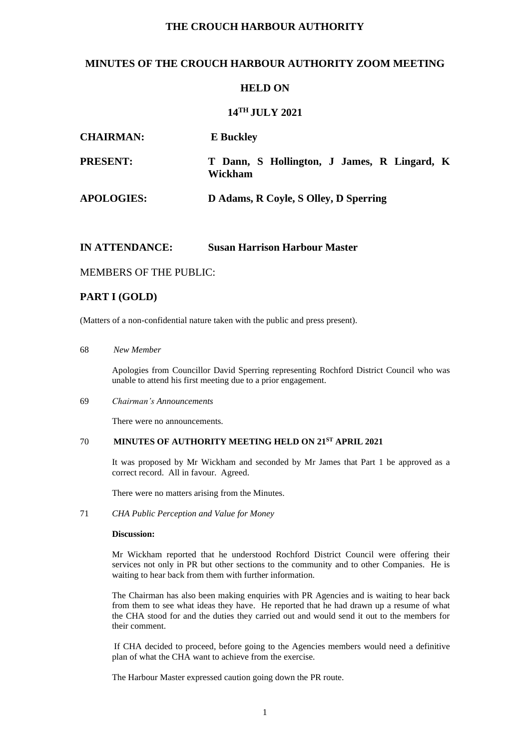# **THE CROUCH HARBOUR AUTHORITY**

# **MINUTES OF THE CROUCH HARBOUR AUTHORITY ZOOM MEETING**

## **HELD ON**

## **14TH JULY 2021**

| <b>CHAIRMAN:</b>  | <b>E</b> Buckley                                       |
|-------------------|--------------------------------------------------------|
| <b>PRESENT:</b>   | T Dann, S Hollington, J James, R Lingard, K<br>Wickham |
| <b>APOLOGIES:</b> | D Adams, R Coyle, S Olley, D Sperring                  |

### **IN ATTENDANCE: Susan Harrison Harbour Master**

### MEMBERS OF THE PUBLIC:

# **PART I (GOLD)**

(Matters of a non-confidential nature taken with the public and press present).

#### 68 *New Member*

Apologies from Councillor David Sperring representing Rochford District Council who was unable to attend his first meeting due to a prior engagement.

#### 69 *Chairman's Announcements*

There were no announcements.

### 70 **MINUTES OF AUTHORITY MEETING HELD ON 21 ST APRIL 2021**

It was proposed by Mr Wickham and seconded by Mr James that Part 1 be approved as a correct record. All in favour. Agreed.

There were no matters arising from the Minutes.

71 *CHA Public Perception and Value for Money*

#### **Discussion:**

Mr Wickham reported that he understood Rochford District Council were offering their services not only in PR but other sections to the community and to other Companies. He is waiting to hear back from them with further information.

The Chairman has also been making enquiries with PR Agencies and is waiting to hear back from them to see what ideas they have. He reported that he had drawn up a resume of what the CHA stood for and the duties they carried out and would send it out to the members for their comment.

If CHA decided to proceed, before going to the Agencies members would need a definitive plan of what the CHA want to achieve from the exercise.

The Harbour Master expressed caution going down the PR route.